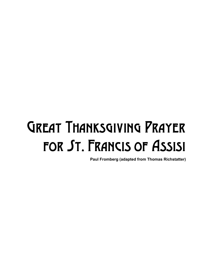## Great Thanksgiving Prayer FOR ST. FRANCIS OF ASSISI

**Paul Fromberg (adapted from Thomas Richstatter)**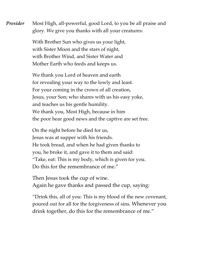*Presider* Most High, all-powerful, good Lord, to you be all praise and glory. We give you thanks with all your creatures:

> With Brother Sun who gives us your light, with Sister Moon and the stars of night, with Brother Wind, and Sister Water and Mother Earth who feeds and keeps us.

We thank you Lord of heaven and earth for revealing your way to the lowly and least. For your coming in the crown of all creation, Jesus, your Son; who shares with us his easy yoke, and teaches us his gentle humility. We thank you, Most High, because in him the poor hear good news and the captive are set free.

On the night before he died for us, Jesus was at supper with his friends. He took bread, and when he had given thanks to you, he broke it, and gave it to them and said: "Take, eat: This is my body, which is given for you. Do this for the remembrance of me."

Then Jesus took the cup of wine. Again he gave thanks and passed the cup, saying:

"Drink this, all of you: This is my blood of the new covenant, poured out for all for the forgiveness of sins. Whenever you drink together, do this for the remembrance of me."